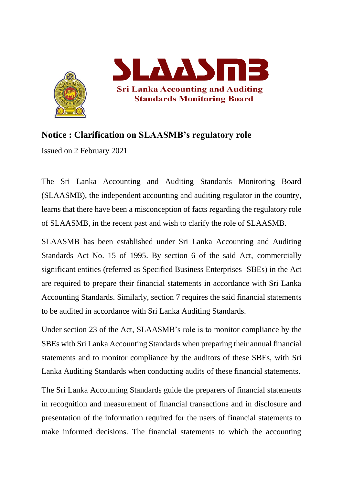



## **Notice : Clarification on SLAASMB's regulatory role**

Issued on 2 February 2021

The Sri Lanka Accounting and Auditing Standards Monitoring Board (SLAASMB), the independent accounting and auditing regulator in the country, learns that there have been a misconception of facts regarding the regulatory role of SLAASMB, in the recent past and wish to clarify the role of SLAASMB.

SLAASMB has been established under Sri Lanka Accounting and Auditing Standards Act No. 15 of 1995. By section 6 of the said Act, commercially significant entities (referred as Specified Business Enterprises -SBEs) in the Act are required to prepare their financial statements in accordance with Sri Lanka Accounting Standards. Similarly, section 7 requires the said financial statements to be audited in accordance with Sri Lanka Auditing Standards.

Under section 23 of the Act, SLAASMB's role is to monitor compliance by the SBEs with Sri Lanka Accounting Standards when preparing their annual financial statements and to monitor compliance by the auditors of these SBEs, with Sri Lanka Auditing Standards when conducting audits of these financial statements.

The Sri Lanka Accounting Standards guide the preparers of financial statements in recognition and measurement of financial transactions and in disclosure and presentation of the information required for the users of financial statements to make informed decisions. The financial statements to which the accounting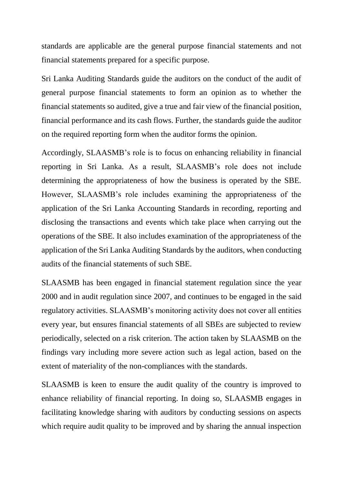standards are applicable are the general purpose financial statements and not financial statements prepared for a specific purpose.

Sri Lanka Auditing Standards guide the auditors on the conduct of the audit of general purpose financial statements to form an opinion as to whether the financial statements so audited, give a true and fair view of the financial position, financial performance and its cash flows. Further, the standards guide the auditor on the required reporting form when the auditor forms the opinion.

Accordingly, SLAASMB's role is to focus on enhancing reliability in financial reporting in Sri Lanka. As a result, SLAASMB's role does not include determining the appropriateness of how the business is operated by the SBE. However, SLAASMB's role includes examining the appropriateness of the application of the Sri Lanka Accounting Standards in recording, reporting and disclosing the transactions and events which take place when carrying out the operations of the SBE. It also includes examination of the appropriateness of the application of the Sri Lanka Auditing Standards by the auditors, when conducting audits of the financial statements of such SBE.

SLAASMB has been engaged in financial statement regulation since the year 2000 and in audit regulation since 2007, and continues to be engaged in the said regulatory activities. SLAASMB's monitoring activity does not cover all entities every year, but ensures financial statements of all SBEs are subjected to review periodically, selected on a risk criterion. The action taken by SLAASMB on the findings vary including more severe action such as legal action, based on the extent of materiality of the non-compliances with the standards.

SLAASMB is keen to ensure the audit quality of the country is improved to enhance reliability of financial reporting. In doing so, SLAASMB engages in facilitating knowledge sharing with auditors by conducting sessions on aspects which require audit quality to be improved and by sharing the annual inspection